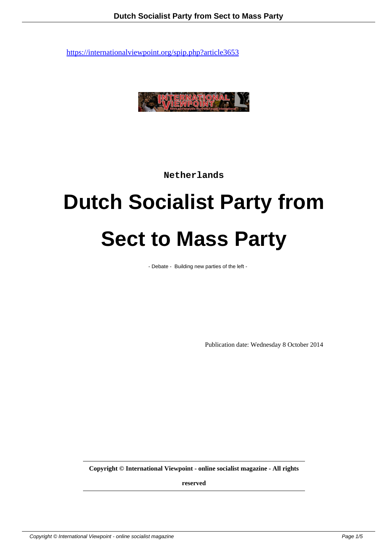

**Netherlands**

# **Dutch Socialist Party from Sect to Mass Party**

- Debate - Building new parties of the left -

Publication date: Wednesday 8 October 2014

**Copyright © International Viewpoint - online socialist magazine - All rights**

**reserved**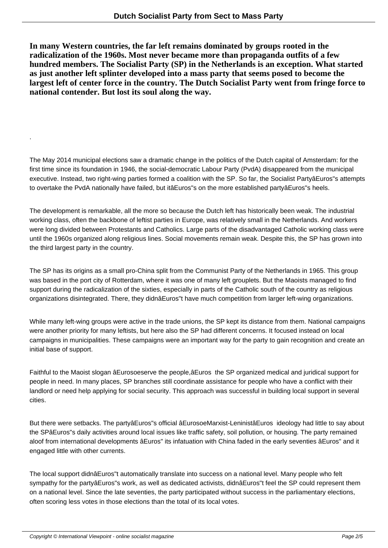**In many Western countries, the far left remains dominated by groups rooted in the radicalization of the 1960s. Most never became more than propaganda outfits of a few hundred members. The Socialist Party (SP) in the Netherlands is an exception. What started as just another left splinter developed into a mass party that seems posed to become the largest left of center force in the country. The Dutch Socialist Party went from fringe force to national contender. But lost its soul along the way.**

The May 2014 municipal elections saw a dramatic change in the politics of the Dutch capital of Amsterdam: for the first time since its foundation in 1946, the social-democratic Labour Party (PvdA) disappeared from the municipal executive. Instead, two right-wing parties formed a coalition with the SP. So far, the Socialist PartyâEuros"s attempts to overtake the PvdA nationally have failed, but itâEuros"s on the more established partyâEuros"s heels.

The development is remarkable, all the more so because the Dutch left has historically been weak. The industrial working class, often the backbone of leftist parties in Europe, was relatively small in the Netherlands. And workers were long divided between Protestants and Catholics. Large parts of the disadvantaged Catholic working class were until the 1960s organized along religious lines. Social movements remain weak. Despite this, the SP has grown into the third largest party in the country.

The SP has its origins as a small pro-China split from the Communist Party of the Netherlands in 1965. This group was based in the port city of Rotterdam, where it was one of many left grouplets. But the Maoists managed to find support during the radicalization of the sixties, especially in parts of the Catholic south of the country as religious organizations disintegrated. There, they didnâEuros"t have much competition from larger left-wing organizations.

While many left-wing groups were active in the trade unions, the SP kept its distance from them. National campaigns were another priority for many leftists, but here also the SP had different concerns. It focused instead on local campaigns in municipalities. These campaigns were an important way for the party to gain recognition and create an initial base of support.

Faithful to the Maoist slogan âEurosoeserve the people,âEuros the SP organized medical and juridical support for people in need. In many places, SP branches still coordinate assistance for people who have a conflict with their landlord or need help applying for social security. This approach was successful in building local support in several cities.

But there were setbacks. The partyâEuros"s official âEurosoeMarxist-LeninistâEuros ideology had little to say about the SPâEuros"s daily activities around local issues like traffic safety, soil pollution, or housing. The party remained aloof from international developments âEuros" its infatuation with China faded in the early seventies âEuros" and it engaged little with other currents.

The local support didnâEuros"t automatically translate into success on a national level. Many people who felt sympathy for the partyâEuros"s work, as well as dedicated activists, didnâEuros"t feel the SP could represent them on a national level. Since the late seventies, the party participated without success in the parliamentary elections, often scoring less votes in those elections than the total of its local votes.

.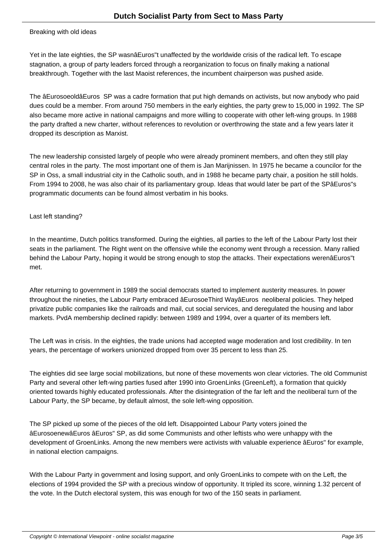#### Breaking with old ideas

Yet in the late eighties, the SP wasnâEuros"t unaffected by the worldwide crisis of the radical left. To escape stagnation, a group of party leaders forced through a reorganization to focus on finally making a national breakthrough. Together with the last Maoist references, the incumbent chairperson was pushed aside.

The âEurosoeoldâEuros SP was a cadre formation that put high demands on activists, but now anybody who paid dues could be a member. From around 750 members in the early eighties, the party grew to 15,000 in 1992. The SP also became more active in national campaigns and more willing to cooperate with other left-wing groups. In 1988 the party drafted a new charter, without references to revolution or overthrowing the state and a few years later it dropped its description as Marxist.

The new leadership consisted largely of people who were already prominent members, and often they still play central roles in the party. The most important one of them is Jan Marijnissen. In 1975 he became a councilor for the SP in Oss, a small industrial city in the Catholic south, and in 1988 he became party chair, a position he still holds. From 1994 to 2008, he was also chair of its parliamentary group. Ideas that would later be part of the SPâEuros"s programmatic documents can be found almost verbatim in his books.

## Last left standing?

In the meantime, Dutch politics transformed. During the eighties, all parties to the left of the Labour Party lost their seats in the parliament. The Right went on the offensive while the economy went through a recession. Many rallied behind the Labour Party, hoping it would be strong enough to stop the attacks. Their expectations werenâEuros"t met.

After returning to government in 1989 the social democrats started to implement austerity measures. In power throughout the nineties, the Labour Party embraced âEurosoeThird WayâEuros neoliberal policies. They helped privatize public companies like the railroads and mail, cut social services, and deregulated the housing and labor markets. PvdA membership declined rapidly: between 1989 and 1994, over a quarter of its members left.

The Left was in crisis. In the eighties, the trade unions had accepted wage moderation and lost credibility. In ten years, the percentage of workers unionized dropped from over 35 percent to less than 25.

The eighties did see large social mobilizations, but none of these movements won clear victories. The old Communist Party and several other left-wing parties fused after 1990 into GroenLinks (GreenLeft), a formation that quickly oriented towards highly educated professionals. After the disintegration of the far left and the neoliberal turn of the Labour Party, the SP became, by default almost, the sole left-wing opposition.

The SP picked up some of the pieces of the old left. Disappointed Labour Party voters joined the âEurosoenewâEuros âEuros" SP, as did some Communists and other leftists who were unhappy with the development of GroenLinks. Among the new members were activists with valuable experience âEuros" for example, in national election campaigns.

With the Labour Party in government and losing support, and only GroenLinks to compete with on the Left, the elections of 1994 provided the SP with a precious window of opportunity. It tripled its score, winning 1.32 percent of the vote. In the Dutch electoral system, this was enough for two of the 150 seats in parliament.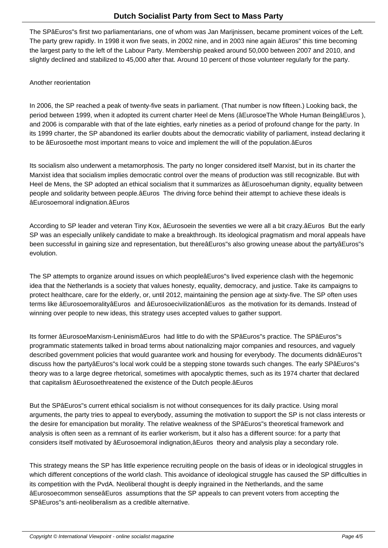The SPâEuros"s first two parliamentarians, one of whom was Jan Marijnissen, became prominent voices of the Left. The party grew rapidly. In 1998 it won five seats, in 2002 nine, and in 2003 nine again âEuros" this time becoming the largest party to the left of the Labour Party. Membership peaked around 50,000 between 2007 and 2010, and slightly declined and stabilized to 45,000 after that. Around 10 percent of those volunteer regularly for the party.

### Another reorientation

In 2006, the SP reached a peak of twenty-five seats in parliament. (That number is now fifteen.) Looking back, the period between 1999, when it adopted its current charter Heel de Mens (âEurosoeThe Whole Human BeingâEuros ), and 2006 is comparable with that of the late eighties, early nineties as a period of profound change for the party. In its 1999 charter, the SP abandoned its earlier doubts about the democratic viability of parliament, instead declaring it to be âEurosoethe most important means to voice and implement the will of the population.âEuros

Its socialism also underwent a metamorphosis. The party no longer considered itself Marxist, but in its charter the Marxist idea that socialism implies democratic control over the means of production was still recognizable. But with Heel de Mens, the SP adopted an ethical socialism that it summarizes as âEurosoehuman dignity, equality between people and solidarity between people.âEuros The driving force behind their attempt to achieve these ideals is âEurosoemoral indignation.âEuros

According to SP leader and veteran Tiny Kox, âEurosoein the seventies we were all a bit crazy.âEuros But the early SP was an especially unlikely candidate to make a breakthrough. Its ideological pragmatism and moral appeals have been successful in gaining size and representation, but thereâEuros"s also growing unease about the partyâEuros"s evolution.

The SP attempts to organize around issues on which peopleâEuros"s lived experience clash with the hegemonic idea that the Netherlands is a society that values honesty, equality, democracy, and justice. Take its campaigns to protect healthcare, care for the elderly, or, until 2012, maintaining the pension age at sixty-five. The SP often uses terms like âEurosoemoralityâEuros and âEurosoecivilizationâEuros as the motivation for its demands. Instead of winning over people to new ideas, this strategy uses accepted values to gather support.

Its former âEurosoeMarxism-LeninismâEuros had little to do with the SPâEuros"s practice. The SPâEuros"s programmatic statements talked in broad terms about nationalizing major companies and resources, and vaguely described government policies that would guarantee work and housing for everybody. The documents didnâEuros"t discuss how the partyâEuros"s local work could be a stepping stone towards such changes. The early SPâEuros"s theory was to a large degree rhetorical, sometimes with apocalyptic themes, such as its 1974 charter that declared that capitalism âEurosoethreatened the existence of the Dutch people.âEuros

But the SPâEuros"s current ethical socialism is not without consequences for its daily practice. Using moral arguments, the party tries to appeal to everybody, assuming the motivation to support the SP is not class interests or the desire for emancipation but morality. The relative weakness of the SPâEuros"s theoretical framework and analysis is often seen as a remnant of its earlier workerism, but it also has a different source: for a party that considers itself motivated by âEurosoemoral indignation,âEuros theory and analysis play a secondary role.

This strategy means the SP has little experience recruiting people on the basis of ideas or in ideological struggles in which different conceptions of the world clash. This avoidance of ideological struggle has caused the SP difficulties in its competition with the PvdA. Neoliberal thought is deeply ingrained in the Netherlands, and the same âEurosoecommon senseâEuros assumptions that the SP appeals to can prevent voters from accepting the SPâEuros"s anti-neoliberalism as a credible alternative.